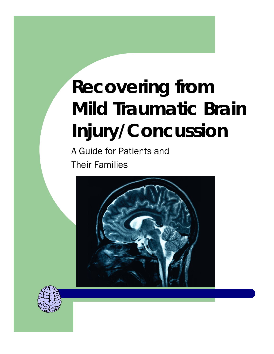# **Recovering from Mild Traumatic Brain Injury/Concussion**

A Guide for Patients and Their Families



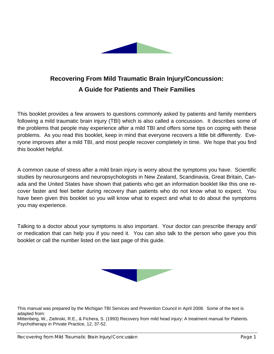

### **Recovering From Mild Traumatic Brain Injury/Concussion: A Guide for Patients and Their Families**

This booklet provides a few answers to questions commonly asked by patients and family members following a mild traumatic brain injury (TBI) which is also called a concussion. It describes some of the problems that people may experience after a mild TBI and offers some tips on coping with these problems. As you read this booklet, keep in mind that everyone recovers a little bit differently. Everyone improves after a mild TBI, and most people recover completely in time. We hope that you find this booklet helpful.

A common cause of stress after a mild brain injury is worry about the symptoms you have. Scientific studies by neurosurgeons and neuropsychologists in New Zealand, Scandinavia, Great Britain, Canada and the United States have shown that patients who get an information booklet like this one recover faster and feel better during recovery than patients who do not know what to expect. You have been given this booklet so you will know what to expect and what to do about the symptoms you may experience.

Talking to a doctor about your symptoms is also important. Your doctor can prescribe therapy and/ or medication that can help you if you need it. You can also talk to the person who gave you this booklet or call the number listed on the last page of this guide.



This manual was prepared by the Michigan TBI Services and Prevention Council in April 2008. Some of the text is adapted from:

Mittenberg, W., Zielinski, R.E., & Fichera, S. (1993) Recovery from mild head injury: A treatment manual for Patients. Psychotherapy in Private Practice, 12, 37-52.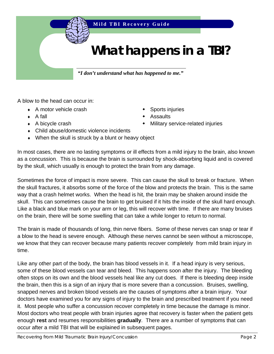

## **What happens in a TBI?**

*"I don't understand what has happened to me."* 

A blow to the head can occur in:

- A motor vehicle crash **•** Sports injuries
- 
- 
- ♦ Child abuse/domestic violence incidents
- ♦ When the skull is struck by a blunt or heavy object
- 
- $\bullet$  A fall  $\bullet$  Assaults
- ◆ A bicycle crash **butchered** in **We can also also <b>Wille Military service-related injuries**

In most cases, there are no lasting symptoms or ill effects from a mild injury to the brain, also known as a concussion. This is because the brain is surrounded by shock-absorbing liquid and is covered by the skull, which usually is enough to protect the brain from any damage.

Sometimes the force of impact is more severe. This can cause the skull to break or fracture. When the skull fractures, it absorbs some of the force of the blow and protects the brain. This is the same way that a crash helmet works. When the head is hit, the brain may be shaken around inside the skull. This can sometimes cause the brain to get bruised if it hits the inside of the skull hard enough. Like a black and blue mark on your arm or leg, this will recover with time. If there are many bruises on the brain, there will be some swelling that can take a while longer to return to normal.

The brain is made of thousands of long, thin nerve fibers. Some of these nerves can snap or tear if a blow to the head is severe enough. Although these nerves cannot be seen without a microscope, we know that they can recover because many patients recover completely from mild brain injury in time.

Like any other part of the body, the brain has blood vessels in it. If a head injury is very serious, some of these blood vessels can tear and bleed. This happens soon after the injury. The bleeding often stops on its own and the blood vessels heal like any cut does. If there is bleeding deep inside the brain, then this is a sign of an injury that is more severe than a concussion. Bruises, swelling, snapped nerves and broken blood vessels are the causes of symptoms after a brain injury. Your doctors have examined you for any signs of injury to the brain and prescribed treatment if you need it. Most people who suffer a concussion recover completely in time because the damage is minor. Most doctors who treat people with brain injuries agree that recovery is faster when the patient gets enough **rest** and resumes responsibilities **gradually**. There are a number of symptoms that can occur after a mild TBI that will be explained in subsequent pages.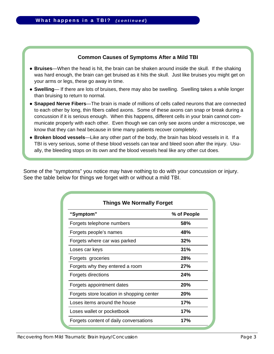#### **Common Causes of Symptoms After a Mild TBI**

- **Bruises**—When the head is hit, the brain can be shaken around inside the skull. If the shaking was hard enough, the brain can get bruised as it hits the skull. Just like bruises you might get on your arms or legs, these go away in time.
- **Swelling** If there are lots of bruises, there may also be swelling. Swelling takes a while longer than bruising to return to normal.
- **Snapped Nerve Fibers**—The brain is made of millions of cells called neurons that are connected to each other by long, thin fibers called axons. Some of these axons can snap or break during a concussion if it is serious enough. When this happens, different cells in your brain cannot communicate properly with each other. Even though we can only see axons under a microscope, we know that they can heal because in time many patients recover completely.
- **Broken blood vessels**—Like any other part of the body, the brain has blood vessels in it. If a TBI is very serious, some of these blood vessels can tear and bleed soon after the injury. Usually, the bleeding stops on its own and the blood vessels heal like any other cut does.

Some of the "symptoms" you notice may have nothing to do with your concussion or injury. See the table below for things we forget with or without a mild TBI.

| "Symptom"                                 | % of People |
|-------------------------------------------|-------------|
| Forgets telephone numbers                 | 58%         |
| Forgets people's names                    | 48%         |
| Forgets where car was parked              | 32%         |
| Loses car keys                            | 31%         |
| Forgets groceries                         | 28%         |
| Forgets why they entered a room           | 27%         |
| Forgets directions                        | 24%         |
| Forgets appointment dates                 | 20%         |
| Forgets store location in shopping center | 20%         |
| Loses items around the house              | 17%         |
| Loses wallet or pocketbook                | 17%         |
| Forgets content of daily conversations    | 17%         |

*Recovering from Mild Traumatic Brain Injury/Concussion Page 3*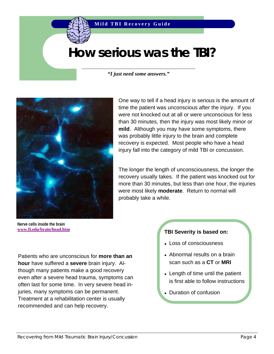### **How serious was the TBI?**

*"I just need some answers."* 



One way to tell if a head injury is serious is the amount of time the patient was unconscious after the injury. If you were not knocked out at all or were unconscious for less than 30 minutes, then the injury was most likely minor or **mild**. Although you may have some symptoms, there was probably little injury to the brain and complete recovery is expected. Most people who have a head injury fall into the category of mild TBI or concussion.

The longer the length of unconsciousness, the longer the recovery usually takes. If the patient was knocked out for more than 30 minutes, but less than one hour, the injuries were most likely **moderate**. Return to normal will probably take a while.

**Nerve cells inside the brain www.fi.edu/brain/head.htm**

Patients who are unconscious for **more than an hour** have suffered a **severe** brain injury. Although many patients make a good recovery even after a severe head trauma, symptoms can often last for some time. In very severe head injuries, many symptoms can be permanent. Treatment at a rehabilitation center is usually recommended and can help recovery.

#### **TBI Severity is based on:**

- Loss of consciousness
- Abnormal results on a brain scan such as a **CT** or **MRI**
- $\bullet$  Length of time until the patient is first able to follow instructions
- Duration of confusion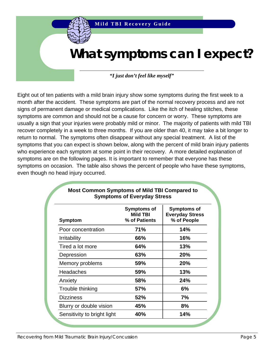### **What symptoms can I expect?**

#### *"I just don't feel like myself"*

Eight out of ten patients with a mild brain injury show some symptoms during the first week to a month after the accident. These symptoms are part of the normal recovery process and are not signs of permanent damage or medical complications. Like the itch of healing stitches, these symptoms are common and should not be a cause for concern or worry. These symptoms are usually a sign that your injuries were probably mild or minor. The majority of patients with mild TBI recover completely in a week to three months. If you are older than 40, it may take a bit longer to return to normal. The symptoms often disappear without any special treatment. A list of the symptoms that you can expect is shown below, along with the percent of mild brain injury patients who experience each symptom at some point in their recovery. A more detailed explanation of symptoms are on the following pages. It is important to remember that everyone has these symptoms on occasion. The table also shows the percent of people who have these symptoms, even though no head injury occurred.

| <b>Symptom</b>              | <b>Symptoms of</b><br><b>Mild TBI</b><br>% of Patients | <b>Symptoms of</b><br><b>Everyday Stress</b><br>% of People |
|-----------------------------|--------------------------------------------------------|-------------------------------------------------------------|
| Poor concentration          | 71%                                                    | 14%                                                         |
| Irritability                | 66%                                                    | 16%                                                         |
| Tired a lot more            | 64%                                                    | 13%                                                         |
| Depression                  | 63%                                                    | 20%                                                         |
| Memory problems             | 59%                                                    | 20%                                                         |
| Headaches                   | 59%                                                    | 13%                                                         |
| Anxiety                     | 58%                                                    | 24%                                                         |
| Trouble thinking            | 57%                                                    | 6%                                                          |
| <b>Dizziness</b>            | 52%                                                    | 7%                                                          |
| Blurry or double vision     | 45%                                                    | 8%                                                          |
| Sensitivity to bright light | 40%                                                    | 14%                                                         |

#### **Most Common Symptoms of Mild TBI Compared to Symptoms of Everyday Stress**

*Recovering from Mild Traumatic Brain Injury/Concussion Page 5*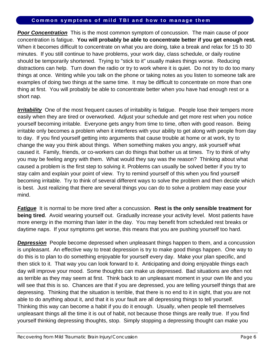#### **Common symptoms of mild TBI and how to manage them**

**Poor Concentration** This is the most common symptom of concussion. The main cause of poor concentration is fatigue. **You will probably be able to concentrate better if you get enough rest.**  When it becomes difficult to concentrate on what you are doing, take a break and relax for 15 to 30 minutes. If you still continue to have problems, your work day, class schedule, or daily routine should be temporarily shortened. Trying to "stick to it" usually makes things worse. Reducing distractions can help. Turn down the radio or try to work where it is quiet. Do not try to do too many things at once. Writing while you talk on the phone or taking notes as you listen to someone talk are examples of doing two things at the same time. It may be difficult to concentrate on more than one thing at first. You will probably be able to concentrate better when you have had enough rest or a short nap.

*Irritability* One of the most frequent causes of irritability is fatigue. People lose their tempers more easily when they are tired or overworked. Adjust your schedule and get more rest when you notice yourself becoming irritable. Everyone gets angry from time to time, often with good reason. Being irritable only becomes a problem when it interferes with your ability to get along with people from day to day. If you find yourself getting into arguments that cause trouble at home or at work, try to change the way you think about things. When something makes you angry, ask yourself what caused it. Family, friends, or co-workers can do things that bother us at times. Try to think of why you may be feeling angry with them. What would they say was the reason? Thinking about what caused a problem is the first step to solving it. Problems can usually be solved better if you try to stay calm and explain your point of view. Try to remind yourself of this when you find yourself becoming irritable. Try to think of several different ways to solve the problem and then decide which is best. Just realizing that there are several things you can do to solve a problem may ease your mind.

*Fatigue* It is normal to be more tired after a concussion. **Rest is the only sensible treatment for being tired**. Avoid wearing yourself out. Gradually increase your activity level. Most patients have more energy in the morning than later in the day. You may benefit from scheduled rest breaks or daytime naps. If your symptoms get worse, this means that you are pushing yourself too hard.

*Depression* People become depressed when unpleasant things happen to them, and a concussion is unpleasant. An effective way to treat depression is try to make good things happen. One way to do this is to plan to do something enjoyable for yourself every day. Make your plan specific, and then stick to it. That way you can look forward to it. Anticipating and doing enjoyable things each day will improve your mood. Some thoughts can make us depressed. Bad situations are often not as terrible as they may seem at first. Think back to an unpleasant moment in your own life and you will see that this is so. Chances are that if you are depressed, you are telling yourself things that are depressing. Thinking that the situation is terrible, that there is no end to it in sight, that you are not able to do anything about it, and that it is your fault are all depressing things to tell yourself. Thinking this way can become a habit if you do it enough. Usually, when people tell themselves unpleasant things all the time it is out of habit, not because those things are really true. If you find yourself thinking depressing thoughts, stop. Simply stopping a depressing thought can make you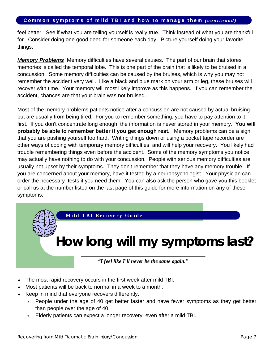#### **Common symptoms of mild TBI and how to manage them** *(continued)*

feel better. See if what you are telling yourself is really true. Think instead of what you are thankful for. Consider doing one good deed for someone each day. Picture yourself doing your favorite things.

*Memory Problems* Memory difficulties have several causes. The part of our brain that stores memories is called the temporal lobe. This is one part of the brain that is likely to be bruised in a concussion. Some memory difficulties can be caused by the bruises, which is why you may not remember the accident very well. Like a black and blue mark on your arm or leg, these bruises will recover with time. Your memory will most likely improve as this happens. If you can remember the accident, chances are that your brain was not bruised.

Most of the memory problems patients notice after a concussion are not caused by actual bruising but are usually from being tired. For you to remember something, you have to pay attention to it first. If you don't concentrate long enough, the information is never stored in your memory. **You will probably be able to remember better if you get enough rest.** Memory problems can be a sign that you are pushing yourself too hard. Writing things down or using a pocket tape recorder are other ways of coping with temporary memory difficulties, and will help your recovery. You likely had trouble remembering things even before the accident. Some of the memory symptoms you notice may actually have nothing to do with your concussion. People with serious memory difficulties are usually not upset by their symptoms. They don't remember that they have any memory trouble. If you are concerned about your memory, have it tested by a neuropsychologist. Your physician can order the necessary tests if you need them. You can also ask the person who gave you this booklet or call us at the number listed on the last page of this guide for more information on any of these symptoms.

#### **Mild TBI Recovery Guide**

### **How long will my symptoms last?**

*"I feel like I'll never be the same again."* 

- The most rapid recovery occurs in the first week after mild TBI.
- Most patients will be back to normal in a week to a month.
- Keep in mind that everyone recovers differently.
	- People under the age of 40 get better faster and have fewer symptoms as they get better than people over the age of 40.
	- ∗ Elderly patients can expect a longer recovery, even after a mild TBI.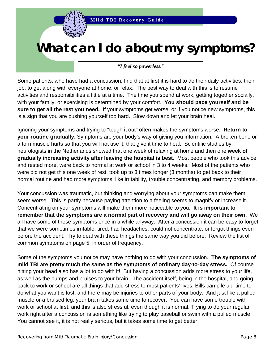### **What can I do about my symptoms?**

#### *"I feel so powerless."*

Some patients, who have had a concussion, find that at first it is hard to do their daily activities, their job, to get along with everyone at home, or relax. The best way to deal with this is to resume activities and responsibilities a little at a time. The time you spend at work, getting together socially, with your family, or exercising is determined by your comfort. **You should pace yourself and be sure to get all the rest you need.** If your symptoms get worse, or if you notice new symptoms, this is a sign that you are pushing yourself too hard. Slow down and let your brain heal.

Ignoring your symptoms and trying to "tough it out" often makes the symptoms worse. **Return to your routine gradually**. Symptoms are your body's way of giving you information. A broken bone or a torn muscle hurts so that you will not use it; that give it time to heal. Scientific studies by neurologists in the Netherlands showed that one week of relaxing at home and then one **week of gradually increasing activity after leaving the hospital is best.** Most people who took this advice and rested more, were back to normal at work or school in 3 to 4 weeks. Most of the patients who were did not get this one week of rest, took up to 3 times longer (3 months) to get back to their normal routine and had more symptoms, like irritability, trouble concentrating, and memory problems.

Your concussion was traumatic, but thinking and worrying about your symptoms can make them seem worse. This is partly because paying attention to a feeling seems to magnify or increase it. Concentrating on your symptoms will make them more noticeable to you. **It is important to remember that the symptoms are a normal part of recovery and will go away on their own.** We all have some of these symptoms once in a while anyway. After a concussion it can be easy to forget that we were sometimes irritable, tired, had headaches, could not concentrate, or forgot things even before the accident. Try to deal with these things the same way you did before. Review the list of common symptoms on page 5, in order of frequency.

Some of the symptoms you notice may have nothing to do with your concussion. **The symptoms of mild TBI are pretty much the same as the symptoms of ordinary day-to-day stress.** Of course hitting your head also has a lot to do with it! But having a concussion adds more stress to your life, as well as the bumps and bruises to your brain. The accident itself, being in the hospital, and going back to work or school are all things that add stress to most patients' lives. Bills can pile up, time to do what you want is lost, and there may be injuries to other parts of your body. And just like a pulled muscle or a bruised leg, your brain takes some time to recover. You can have some trouble with work or school at first, and this is also stressful, even though it is normal. Trying to do your regular work right after a concussion is something like trying to play baseball or swim with a pulled muscle. You cannot see it, it is not really serious, but it takes some time to get better.